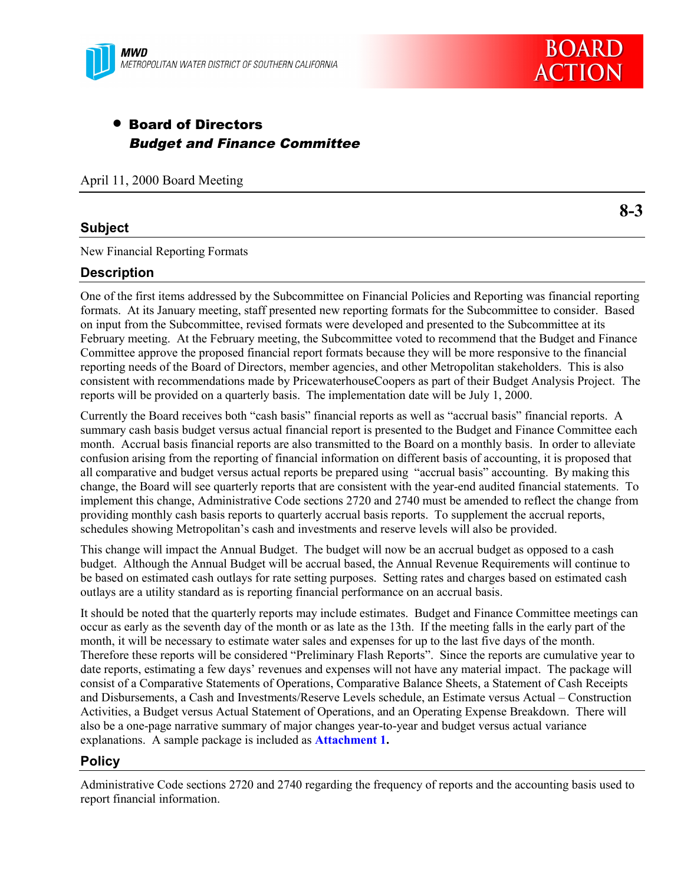

# • Board of Directors Budget and Finance Committee

April 11, 2000 Board Meeting

### **Subject**

New Financial Reporting Formats

### **Description**

One of the first items addressed by the Subcommittee on Financial Policies and Reporting was financial reporting formats. At its January meeting, staff presented new reporting formats for the Subcommittee to consider. Based on input from the Subcommittee, revised formats were developed and presented to the Subcommittee at its February meeting. At the February meeting, the Subcommittee voted to recommend that the Budget and Finance Committee approve the proposed financial report formats because they will be more responsive to the financial reporting needs of the Board of Directors, member agencies, and other Metropolitan stakeholders. This is also consistent with recommendations made by PricewaterhouseCoopers as part of their Budget Analysis Project. The reports will be provided on a quarterly basis. The implementation date will be July 1, 2000.

Currently the Board receives both "cash basis" financial reports as well as "accrual basis" financial reports. A summary cash basis budget versus actual financial report is presented to the Budget and Finance Committee each month. Accrual basis financial reports are also transmitted to the Board on a monthly basis. In order to alleviate confusion arising from the reporting of financial information on different basis of accounting, it is proposed that all comparative and budget versus actual reports be prepared using "accrual basis" accounting. By making this change, the Board will see quarterly reports that are consistent with the year-end audited financial statements. To implement this change, Administrative Code sections 2720 and 2740 must be amended to reflect the change from providing monthly cash basis reports to quarterly accrual basis reports. To supplement the accrual reports, schedules showing Metropolitan's cash and investments and reserve levels will also be provided.

This change will impact the Annual Budget. The budget will now be an accrual budget as opposed to a cash budget. Although the Annual Budget will be accrual based, the Annual Revenue Requirements will continue to be based on estimated cash outlays for rate setting purposes. Setting rates and charges based on estimated cash outlays are a utility standard as is reporting financial performance on an accrual basis.

It should be noted that the quarterly reports may include estimates. Budget and Finance Committee meetings can occur as early as the seventh day of the month or as late as the 13th. If the meeting falls in the early part of the month, it will be necessary to estimate water sales and expenses for up to the last five days of the month. Therefore these reports will be considered "Preliminary Flash Reports". Since the reports are cumulative year to date reports, estimating a few days' revenues and expenses will not have any material impact. The package will consist of a Comparative Statements of Operations, Comparative Balance Sheets, a Statement of Cash Receipts and Disbursements, a Cash and Investments/Reserve Levels schedule, an Estimate versus Actual – Construction Activities, a Budget versus Actual Statement of Operations, and an Operating Expense Breakdown. There will also be a one-page narrative summary of major changes year-to-year and budget versus actual variance explanations. A sample package is included as **Attachment 1.**

# **Policy**

Administrative Code sections 2720 and 2740 regarding the frequency of reports and the accounting basis used to report financial information.

**8-3**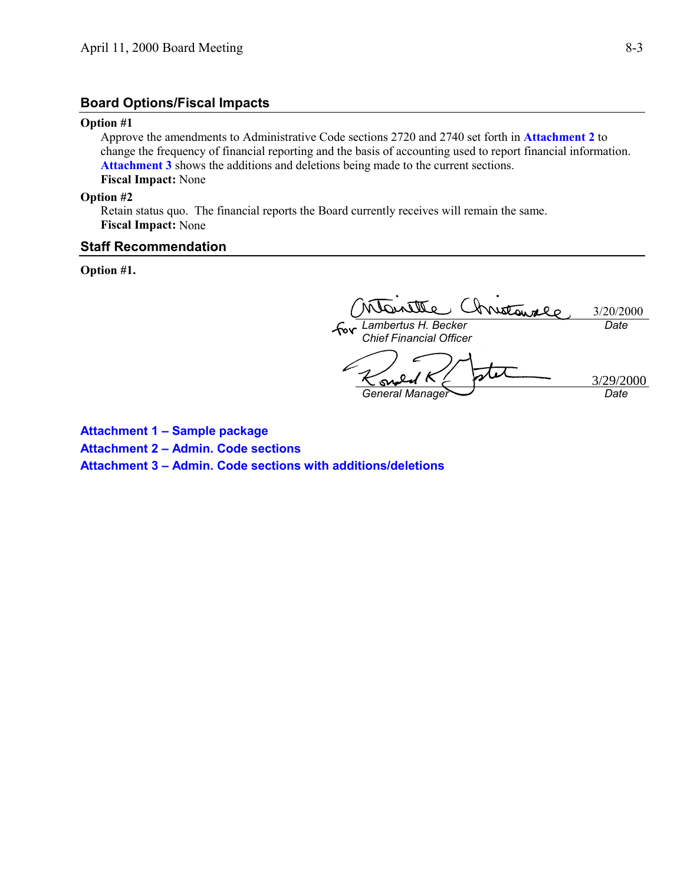### **Board Options/Fiscal Impacts**

#### **Option #1**

Approve the amendments to Administrative Code sections 2720 and 2740 set forth in **Attachment 2** to change the frequency of financial reporting and the basis of accounting used to report financial information. **Attachment 3** shows the additions and deletions being made to the current sections. **Fiscal Impact:** None

#### **Option #2**

Retain status quo. The financial reports the Board currently receives will remain the same. **Fiscal Impact:** None

#### **Staff Recommendation**

**Option #1.**

Inistance 3/20/2000 *Lambertus H. Becker Date Chief Financial Officer* 0 3/29/2000S *General Manager Date*

**Attachment 1 – Sample package Attachment 2 – Admin. Code sections Attachment 3 – Admin. Code sections with additions/deletions**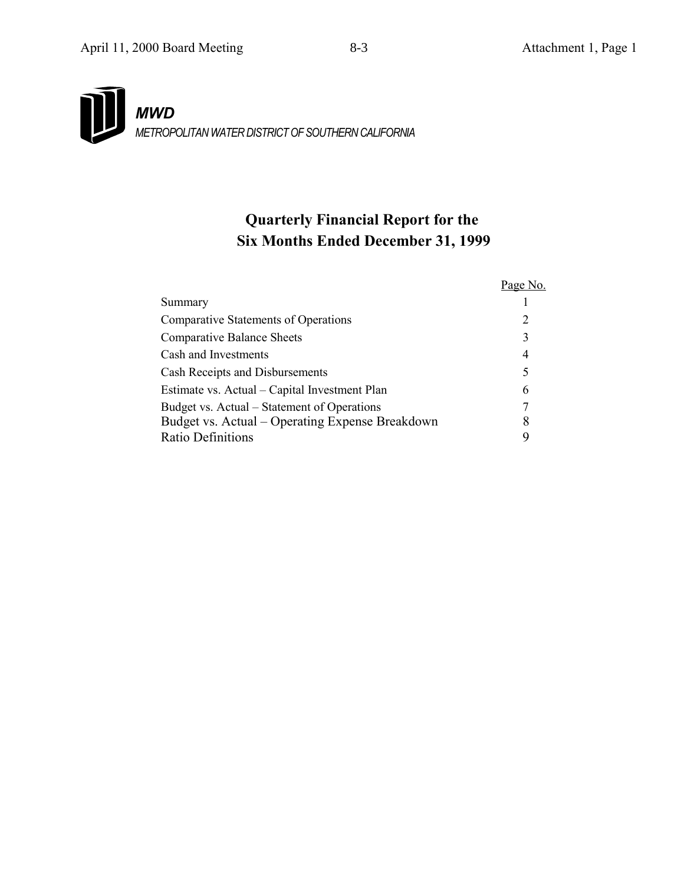# *MWD METROPOLITAN WATER DISTRICT OF SOUTHERN CALIFORNIA*

# **Quarterly Financial Report for the Six Months Ended December 31, 1999**

|                                                 | Page No. |
|-------------------------------------------------|----------|
| Summary                                         |          |
| <b>Comparative Statements of Operations</b>     | 2        |
| <b>Comparative Balance Sheets</b>               | 3        |
| Cash and Investments                            | 4        |
| Cash Receipts and Disbursements                 | 5        |
| Estimate vs. Actual – Capital Investment Plan   | 6        |
| Budget vs. Actual – Statement of Operations     | 7        |
| Budget vs. Actual - Operating Expense Breakdown | 8        |
| Ratio Definitions                               | q        |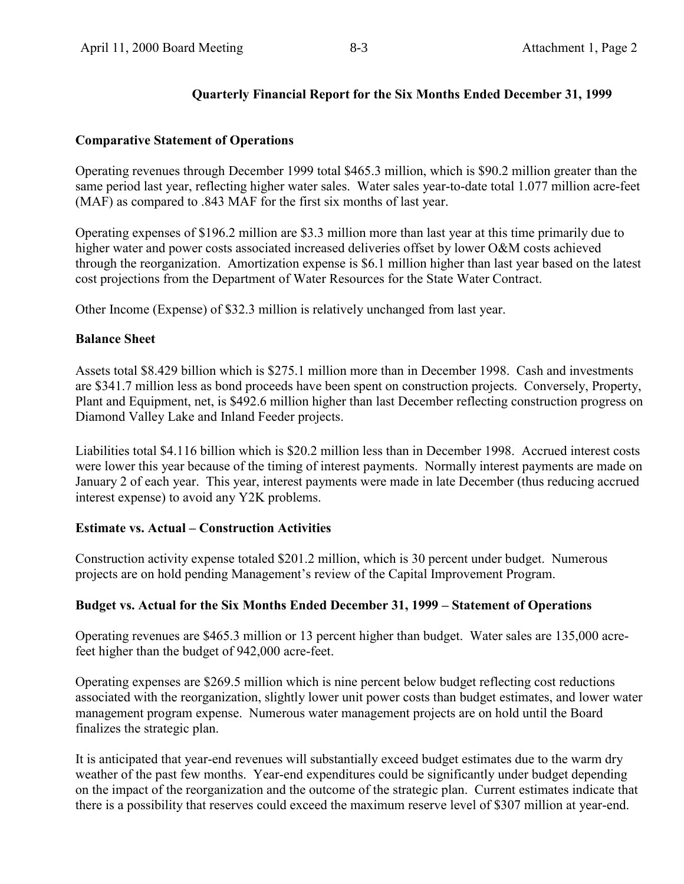# **Quarterly Financial Report for the Six Months Ended December 31, 1999**

### **Comparative Statement of Operations**

Operating revenues through December 1999 total \$465.3 million, which is \$90.2 million greater than the same period last year, reflecting higher water sales. Water sales year-to-date total 1.077 million acre-feet (MAF) as compared to .843 MAF for the first six months of last year.

Operating expenses of \$196.2 million are \$3.3 million more than last year at this time primarily due to higher water and power costs associated increased deliveries offset by lower O&M costs achieved through the reorganization. Amortization expense is \$6.1 million higher than last year based on the latest cost projections from the Department of Water Resources for the State Water Contract.

Other Income (Expense) of \$32.3 million is relatively unchanged from last year.

### **Balance Sheet**

Assets total \$8.429 billion which is \$275.1 million more than in December 1998. Cash and investments are \$341.7 million less as bond proceeds have been spent on construction projects. Conversely, Property, Plant and Equipment, net, is \$492.6 million higher than last December reflecting construction progress on Diamond Valley Lake and Inland Feeder projects.

Liabilities total \$4.116 billion which is \$20.2 million less than in December 1998. Accrued interest costs were lower this year because of the timing of interest payments. Normally interest payments are made on January 2 of each year. This year, interest payments were made in late December (thus reducing accrued interest expense) to avoid any Y2K problems.

### **Estimate vs. Actual – Construction Activities**

Construction activity expense totaled \$201.2 million, which is 30 percent under budget. Numerous projects are on hold pending Management's review of the Capital Improvement Program.

# **Budget vs. Actual for the Six Months Ended December 31, 1999 – Statement of Operations**

Operating revenues are \$465.3 million or 13 percent higher than budget. Water sales are 135,000 acrefeet higher than the budget of 942,000 acre-feet.

Operating expenses are \$269.5 million which is nine percent below budget reflecting cost reductions associated with the reorganization, slightly lower unit power costs than budget estimates, and lower water management program expense. Numerous water management projects are on hold until the Board finalizes the strategic plan.

It is anticipated that year-end revenues will substantially exceed budget estimates due to the warm dry weather of the past few months. Year-end expenditures could be significantly under budget depending on the impact of the reorganization and the outcome of the strategic plan. Current estimates indicate that there is a possibility that reserves could exceed the maximum reserve level of \$307 million at year-end.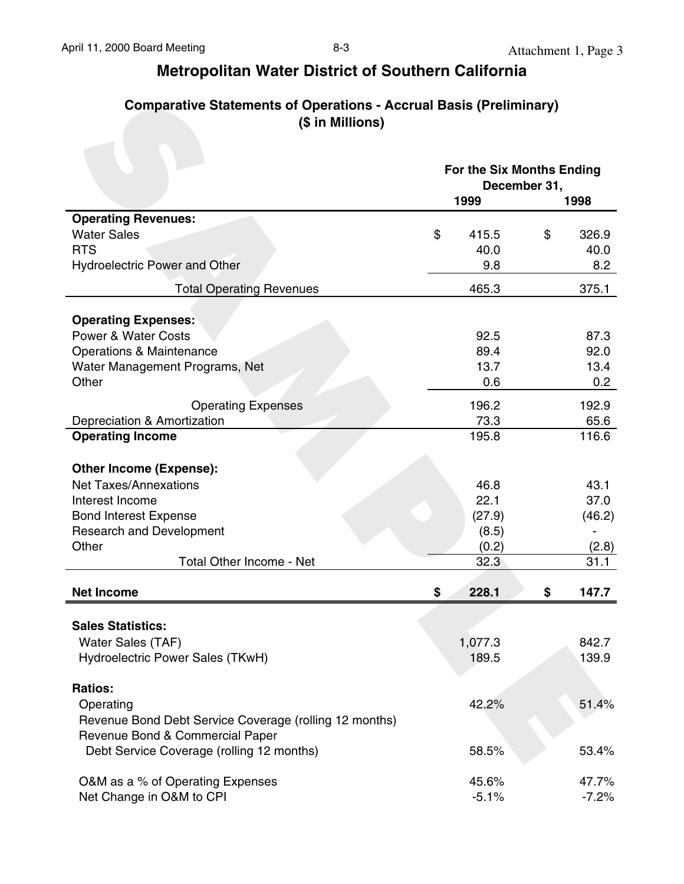| Comparative Statements of Operations - Accrual Basis (Preliminary) |
|--------------------------------------------------------------------|
| (\$ in Millions)                                                   |

| <b>Comparative Statements of Operations - Accrual Basis (Preliminary)</b><br>(\$ in Millions) |                                   |              |         |
|-----------------------------------------------------------------------------------------------|-----------------------------------|--------------|---------|
|                                                                                               | For the Six Months Ending<br>1999 | December 31, | 1998    |
| <b>Operating Revenues:</b>                                                                    |                                   |              |         |
| <b>Water Sales</b>                                                                            | \$<br>415.5                       | \$           | 326.9   |
| <b>RTS</b>                                                                                    | 40.0                              |              | 40.0    |
| <b>Hydroelectric Power and Other</b>                                                          | 9.8                               |              | 8.2     |
| <b>Total Operating Revenues</b>                                                               | 465.3                             |              | 375.1   |
| <b>Operating Expenses:</b>                                                                    |                                   |              |         |
| <b>Power &amp; Water Costs</b>                                                                | 92.5                              |              | 87.3    |
| <b>Operations &amp; Maintenance</b>                                                           | 89.4                              |              | 92.0    |
| Water Management Programs, Net                                                                | 13.7                              |              | 13.4    |
| Other                                                                                         | 0.6                               |              | 0.2     |
| <b>Operating Expenses</b>                                                                     | 196.2                             |              | 192.9   |
| Depreciation & Amortization                                                                   | 73.3                              |              | 65.6    |
| <b>Operating Income</b>                                                                       | 195.8                             |              | 116.6   |
| <b>Other Income (Expense):</b>                                                                |                                   |              |         |
| <b>Net Taxes/Annexations</b>                                                                  | 46.8                              |              | 43.1    |
| Interest Income                                                                               | 22.1                              |              | 37.0    |
| <b>Bond Interest Expense</b>                                                                  | (27.9)                            |              | (46.2)  |
| <b>Research and Development</b>                                                               | (8.5)                             |              |         |
| Other                                                                                         | (0.2)                             |              | (2.8)   |
| Total Other Income - Net                                                                      | 32.3                              |              | 31.1    |
| <b>Net Income</b>                                                                             | 228.1<br>\$                       | \$           | 147.7   |
|                                                                                               |                                   |              |         |
| <b>Sales Statistics:</b>                                                                      |                                   |              |         |
| Water Sales (TAF)                                                                             | 1,077.3                           |              | 842.7   |
| Hydroelectric Power Sales (TKwH)                                                              | 189.5                             |              | 139.9   |
| <b>Ratios:</b>                                                                                |                                   |              |         |
| Operating                                                                                     | 42.2%                             |              | 51.4%   |
| Revenue Bond Debt Service Coverage (rolling 12 months)                                        |                                   |              |         |
| Revenue Bond & Commercial Paper                                                               |                                   |              |         |
| Debt Service Coverage (rolling 12 months)                                                     | 58.5%                             |              | 53.4%   |
|                                                                                               |                                   |              |         |
| O&M as a % of Operating Expenses                                                              | 45.6%                             |              | 47.7%   |
| Net Change in O&M to CPI                                                                      | $-5.1%$                           |              | $-7.2%$ |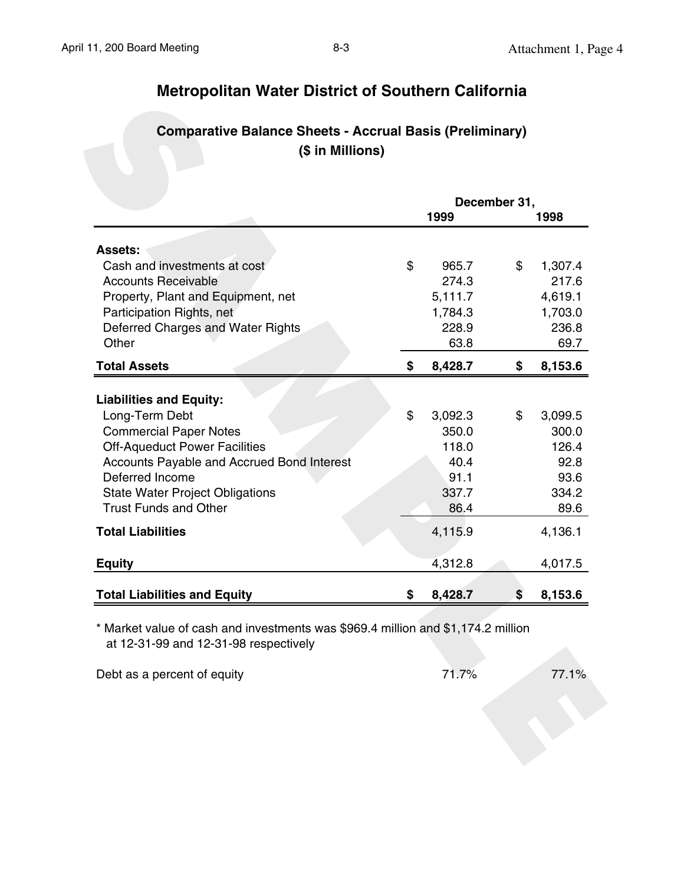# **Comparative Balance Sheets - Accrual Basis (Preliminary) (\$ in Millions)**

|                                                  | December 31,  |               |
|--------------------------------------------------|---------------|---------------|
|                                                  | 1999          | 1998          |
| <b>Assets:</b>                                   |               |               |
| Cash and investments at cost                     | \$<br>965.7   | \$<br>1,307.4 |
| <b>Accounts Receivable</b>                       | 274.3         | 217.6         |
| Property, Plant and Equipment, net               | 5,111.7       | 4,619.1       |
| Participation Rights, net                        | 1,784.3       | 1,703.0       |
| Deferred Charges and Water Rights                | 228.9         | 236.8         |
| Other                                            | 63.8          | 69.7          |
| <b>Total Assets</b>                              | \$<br>8,428.7 | \$<br>8,153.6 |
|                                                  |               |               |
| <b>Liabilities and Equity:</b><br>Long-Term Debt | \$<br>3,092.3 | \$<br>3,099.5 |
| <b>Commercial Paper Notes</b>                    | 350.0         | 300.0         |
| <b>Off-Aqueduct Power Facilities</b>             | 118.0         | 126.4         |
| Accounts Payable and Accrued Bond Interest       | 40.4          | 92.8          |
| Deferred Income                                  | 91.1          | 93.6          |
| <b>State Water Project Obligations</b>           | 337.7         | 334.2         |
| <b>Trust Funds and Other</b>                     | 86.4          | 89.6          |
| <b>Total Liabilities</b>                         | 4,115.9       | 4,136.1       |
| <b>Equity</b>                                    | 4,312.8       | 4,017.5       |
| <b>Total Liabilities and Equity</b>              | 8,428.7       | 8,153.6       |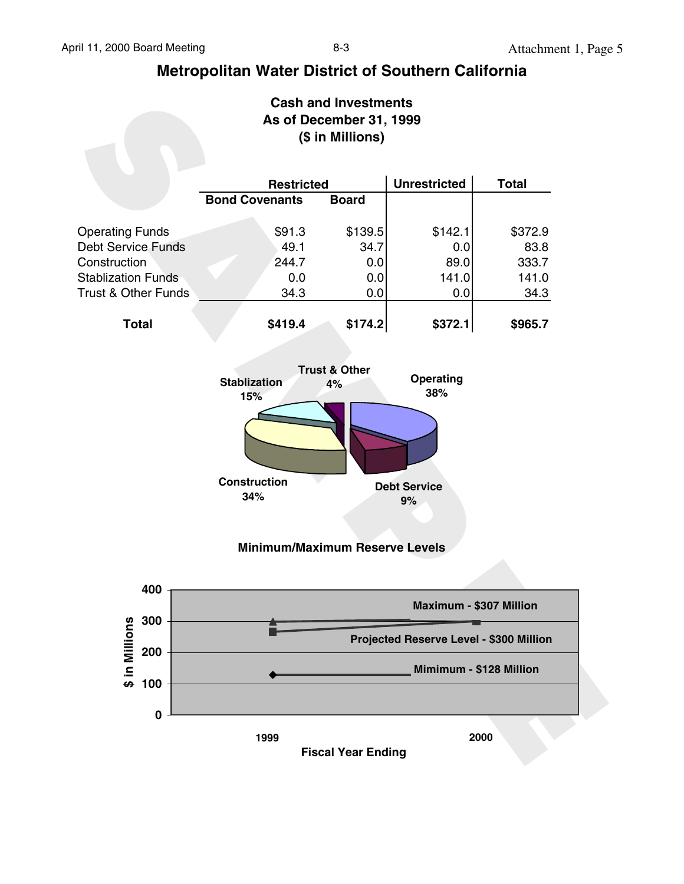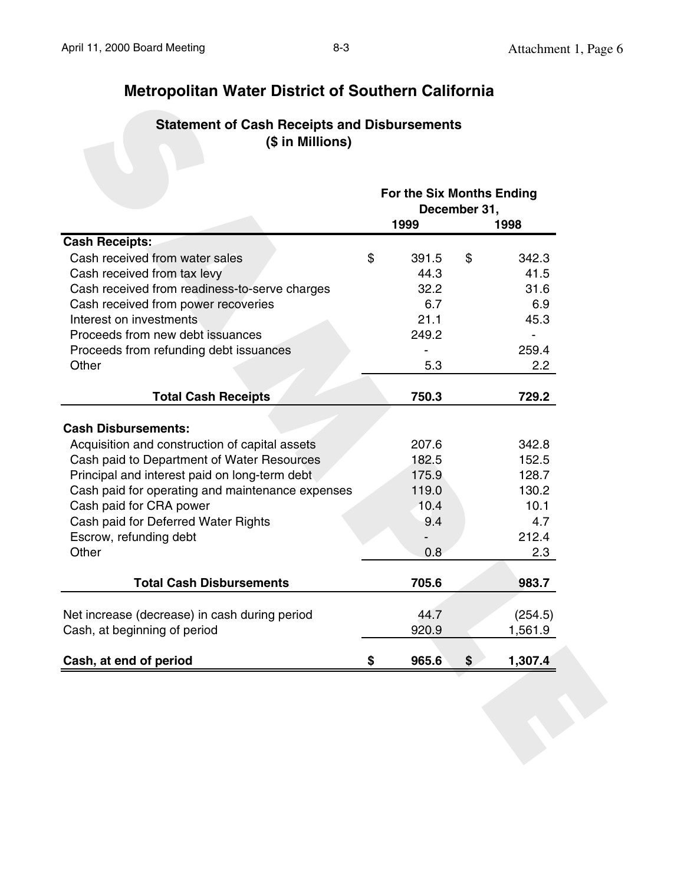# **Statement of Cash Receipts and Disbursements (\$ in Millions)**

|                                                  | For the Six Months Ending | December 31, |         |
|--------------------------------------------------|---------------------------|--------------|---------|
|                                                  | 1999                      |              | 1998    |
| <b>Cash Receipts:</b>                            |                           |              |         |
| Cash received from water sales                   | \$<br>391.5               | \$           | 342.3   |
| Cash received from tax levy                      | 44.3                      |              | 41.5    |
| Cash received from readiness-to-serve charges    | 32.2                      |              | 31.6    |
| Cash received from power recoveries              | 6.7                       |              | 6.9     |
| Interest on investments                          | 21.1                      |              | 45.3    |
| Proceeds from new debt issuances                 | 249.2                     |              |         |
| Proceeds from refunding debt issuances           |                           |              | 259.4   |
| Other                                            | 5.3                       |              | 2.2     |
| <b>Total Cash Receipts</b>                       | 750.3                     |              | 729.2   |
|                                                  |                           |              |         |
| <b>Cash Disbursements:</b>                       |                           |              |         |
| Acquisition and construction of capital assets   | 207.6                     |              | 342.8   |
| Cash paid to Department of Water Resources       | 182.5                     |              | 152.5   |
| Principal and interest paid on long-term debt    | 175.9                     |              | 128.7   |
| Cash paid for operating and maintenance expenses | 119.0                     |              | 130.2   |
| Cash paid for CRA power                          | 10.4                      |              | 10.1    |
| Cash paid for Deferred Water Rights              | 9.4                       |              | 4.7     |
| Escrow, refunding debt                           |                           |              | 212.4   |
| Other                                            | 0.8                       |              | 2.3     |
| <b>Total Cash Disbursements</b>                  | 705.6                     |              | 983.7   |
| Net increase (decrease) in cash during period    | 44.7                      |              | (254.5) |
| Cash, at beginning of period                     | 920.9                     |              | 1,561.9 |
|                                                  |                           |              |         |
| Cash, at end of period                           | \$<br>965.6               | \$           | 1,307.4 |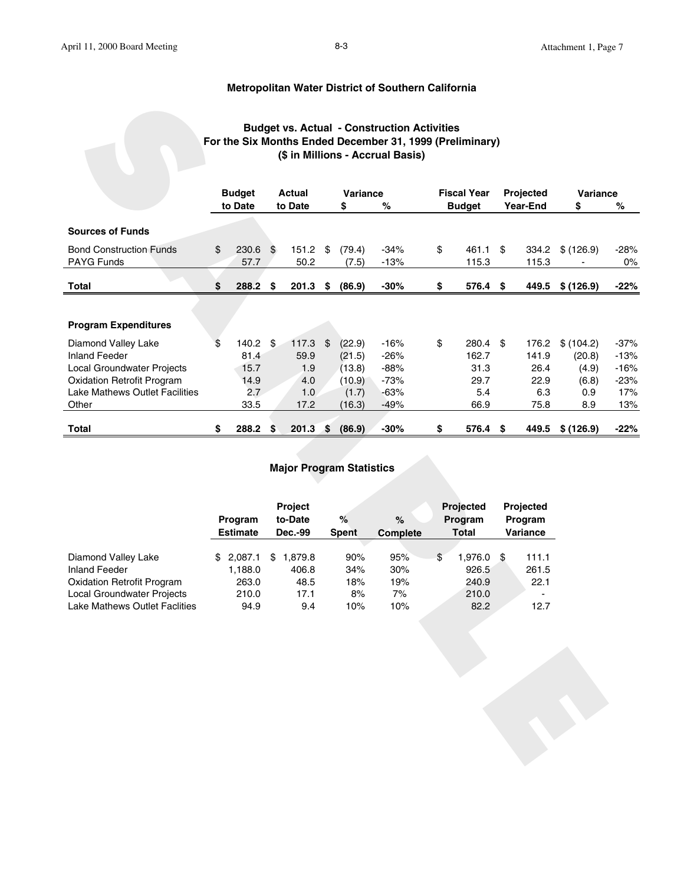#### **Budget vs. Actual - Construction Activities For the Six Months Ended December 31, 1999 (Preliminary) (\$ in Millions - Accrual Basis)**

|                                                                     | <b>Budget vs. Actual - Construction Activities</b><br>For the Six Months Ended December 31, 1999 (Preliminary)<br>(\$ in Millions - Accrual Basis)<br><b>Fiscal Year</b><br><b>Budget</b><br>Actual<br>Variance<br>Projected |                            |               |                    |           |                   |                  |    |                         |                            |                     |                |                 |  |  |
|---------------------------------------------------------------------|------------------------------------------------------------------------------------------------------------------------------------------------------------------------------------------------------------------------------|----------------------------|---------------|--------------------|-----------|-------------------|------------------|----|-------------------------|----------------------------|---------------------|----------------|-----------------|--|--|
|                                                                     |                                                                                                                                                                                                                              | to Date                    |               | to Date            |           | \$                | %                |    | <b>Budget</b>           |                            | Year-End            | Variance<br>\$ | %               |  |  |
| <b>Sources of Funds</b>                                             |                                                                                                                                                                                                                              |                            |               |                    |           |                   |                  |    |                         |                            |                     |                |                 |  |  |
| <b>Bond Construction Funds</b><br>PAYG Funds                        | \$                                                                                                                                                                                                                           | 230.6<br>57.7              | $\frac{1}{2}$ | $151.2$ \$<br>50.2 |           | (79.4)<br>(7.5)   | $-34%$<br>$-13%$ | \$ | 461.1 \$<br>115.3       |                            | 334.2<br>115.3      | \$(126.9)      | $-28%$<br>$0\%$ |  |  |
| <b>Total</b>                                                        | \$                                                                                                                                                                                                                           | 288.2                      | \$            | 201.3              | \$        | (86.9)            | $-30%$           | \$ | 576.4                   | \$                         | 449.5               | \$(126.9)      | $-22%$          |  |  |
|                                                                     |                                                                                                                                                                                                                              |                            |               |                    |           |                   |                  |    |                         |                            |                     |                |                 |  |  |
| <b>Program Expenditures</b>                                         |                                                                                                                                                                                                                              |                            |               |                    |           |                   |                  |    |                         |                            |                     |                |                 |  |  |
| Diamond Valley Lake                                                 | \$                                                                                                                                                                                                                           | 140.2                      | $\frac{1}{2}$ | 117.3              | \$        | (22.9)            | $-16%$           | \$ | 280.4 \$                |                            | 176.2               | \$(104.2)      | $-37%$          |  |  |
| <b>Inland Feeder</b>                                                |                                                                                                                                                                                                                              | 81.4                       |               | 59.9               |           | (21.5)            | $-26%$           |    | 162.7                   |                            | 141.9               | (20.8)         | $-13%$          |  |  |
| Local Groundwater Projects                                          |                                                                                                                                                                                                                              | 15.7                       |               | 1.9                |           | (13.8)            | $-88%$           |    | 31.3                    |                            | 26.4                | (4.9)          | $-16%$          |  |  |
| <b>Oxidation Retrofit Program</b><br>Lake Mathews Outlet Facilities |                                                                                                                                                                                                                              | 14.9                       |               | 4.0                |           | (10.9)            | $-73%$<br>$-63%$ |    | 29.7<br>5.4             |                            | 22.9<br>6.3         | (6.8)          | $-23%$          |  |  |
| Other                                                               |                                                                                                                                                                                                                              | 2.7<br>33.5                |               | 1.0<br>17.2        |           | (1.7)<br>(16.3)   | $-49%$           |    | 66.9                    |                            | 75.8                | 0.9<br>8.9     | 17%<br>13%      |  |  |
|                                                                     |                                                                                                                                                                                                                              |                            |               |                    |           |                   |                  |    |                         |                            |                     |                |                 |  |  |
| <b>Total</b>                                                        | \$                                                                                                                                                                                                                           | 288.2                      | \$            | 201.3              | $\bullet$ | (86.9)            | $-30%$           | \$ | 576.4 \$                |                            | 449.5               | \$(126.9)      | $-22%$          |  |  |
| <b>Major Program Statistics</b>                                     |                                                                                                                                                                                                                              |                            |               |                    |           |                   |                  |    |                         |                            |                     |                |                 |  |  |
|                                                                     |                                                                                                                                                                                                                              |                            |               | Project            |           |                   |                  |    | Projected               |                            | Projected           |                |                 |  |  |
|                                                                     |                                                                                                                                                                                                                              | Program<br><b>Estimate</b> |               | to-Date<br>Dec.-99 |           | %<br><b>Spent</b> | $\%$<br>Complete |    | Program<br><b>Total</b> |                            | Program<br>Variance |                |                 |  |  |
|                                                                     |                                                                                                                                                                                                                              |                            |               |                    |           |                   |                  |    |                         |                            |                     |                |                 |  |  |
| Diamond Valley Lake                                                 |                                                                                                                                                                                                                              | \$2,087.1                  |               | \$1,879.8          |           | 90%               | 95%              | \$ | 1,976.0                 | $\boldsymbol{\mathsf{\$}}$ | 111.1               |                |                 |  |  |
| <b>Inland Feeder</b>                                                |                                                                                                                                                                                                                              | 1,188.0                    |               | 406.8              |           | 34%               | 30%              |    | 926.5                   |                            | 261.5               |                |                 |  |  |
| <b>Oxidation Retrofit Program</b>                                   |                                                                                                                                                                                                                              | 263.0                      |               | 48.5               |           | 18%               | 19%              |    | 240.9                   |                            | 22.1                |                |                 |  |  |
| Local Groundwater Projects<br>Lake Mathews Outlet Faclities         |                                                                                                                                                                                                                              | 210.0<br>94.9              |               | 17.1<br>9.4        |           | 8%<br>10%         | 7%<br>10%        |    | 210.0<br>82.2           |                            | 12.7                |                |                 |  |  |
|                                                                     |                                                                                                                                                                                                                              |                            |               |                    |           |                   |                  |    |                         |                            |                     |                |                 |  |  |
|                                                                     |                                                                                                                                                                                                                              |                            |               |                    |           |                   |                  |    |                         |                            |                     |                |                 |  |  |
|                                                                     |                                                                                                                                                                                                                              |                            |               |                    |           |                   |                  |    |                         |                            |                     |                |                 |  |  |
|                                                                     |                                                                                                                                                                                                                              |                            |               |                    |           |                   |                  |    |                         |                            |                     |                |                 |  |  |
|                                                                     |                                                                                                                                                                                                                              |                            |               |                    |           |                   |                  |    |                         |                            |                     |                |                 |  |  |
|                                                                     |                                                                                                                                                                                                                              |                            |               |                    |           |                   |                  |    |                         |                            |                     |                |                 |  |  |
|                                                                     |                                                                                                                                                                                                                              |                            |               |                    |           |                   |                  |    |                         |                            |                     |                |                 |  |  |
|                                                                     |                                                                                                                                                                                                                              |                            |               |                    |           |                   |                  |    |                         |                            |                     |                |                 |  |  |
|                                                                     |                                                                                                                                                                                                                              |                            |               |                    |           |                   |                  |    |                         |                            |                     |                |                 |  |  |
|                                                                     |                                                                                                                                                                                                                              |                            |               |                    |           |                   |                  |    |                         |                            |                     |                |                 |  |  |
|                                                                     |                                                                                                                                                                                                                              |                            |               |                    |           |                   |                  |    |                         |                            |                     |                |                 |  |  |
|                                                                     |                                                                                                                                                                                                                              |                            |               |                    |           |                   |                  |    |                         |                            |                     |                |                 |  |  |

#### **Major Program Statistics**

|                                      | Program<br><b>Estimate</b> | <b>Project</b><br>to-Date<br><b>Dec.-99</b> | $\%$<br><b>Spent</b> | $\%$<br><b>Complete</b> | <b>Projected</b><br>Program<br><b>Total</b> | Projected<br>Program<br><b>Variance</b> |
|--------------------------------------|----------------------------|---------------------------------------------|----------------------|-------------------------|---------------------------------------------|-----------------------------------------|
|                                      |                            |                                             |                      |                         |                                             |                                         |
| Diamond Valley Lake                  | 2,087.1<br>S.              | 1.879.8<br>\$.                              | 90%                  | 95%                     | \$<br>1,976.0                               | 111.1<br>- \$                           |
| Inland Feeder                        | 1,188.0                    | 406.8                                       | 34%                  | 30%                     | 926.5                                       | 261.5                                   |
| <b>Oxidation Retrofit Program</b>    | 263.0                      | 48.5                                        | 18%                  | 19%                     | 240.9                                       | 22.1                                    |
| Local Groundwater Projects           | 210.0                      | 17.1                                        | 8%                   | 7%                      | 210.0                                       |                                         |
| <b>Lake Mathews Outlet Faclities</b> | 94.9                       | 9.4                                         | 10%                  | 10%                     | 82.2                                        | 12.7                                    |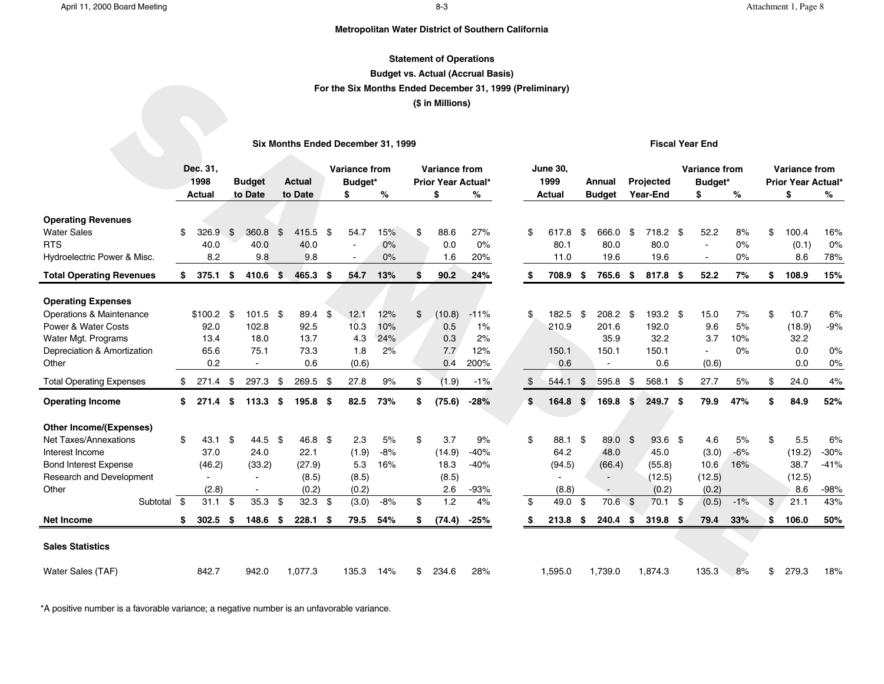#### **Statement of Operations**

#### **Budget vs. Actual (Accrual Basis)**

#### **For the Six Months Ended December 31, 1999 (Preliminary)**

#### **(\$ in Millions)**

#### **Six Months Ended December 31, 1999**

#### **Fiscal Year End**

|                                                  |      |               |      |                |      |                                    |      |                        |           | <b>Budget vs. Actual (Accrual Basis)</b>                 |           |    |                 |                |                |                        |     |                        |          |                           |           |
|--------------------------------------------------|------|---------------|------|----------------|------|------------------------------------|------|------------------------|-----------|----------------------------------------------------------|-----------|----|-----------------|----------------|----------------|------------------------|-----|------------------------|----------|---------------------------|-----------|
|                                                  |      |               |      |                |      |                                    |      |                        |           | For the Six Months Ended December 31, 1999 (Preliminary) |           |    |                 |                |                |                        |     |                        |          |                           |           |
|                                                  |      |               |      |                |      |                                    |      |                        |           | (\$ in Millions)                                         |           |    |                 |                |                |                        |     |                        |          |                           |           |
|                                                  |      |               |      |                |      |                                    |      |                        |           |                                                          |           |    |                 |                |                |                        |     |                        |          |                           |           |
|                                                  |      |               |      |                |      | Six Months Ended December 31, 1999 |      |                        |           |                                                          |           |    |                 |                |                |                        |     | <b>Fiscal Year End</b> |          |                           |           |
|                                                  |      | Dec. 31,      |      |                |      |                                    |      | <b>Variance from</b>   |           | <b>Variance from</b>                                     |           |    | <b>June 30,</b> |                |                |                        |     | <b>Variance from</b>   |          | <b>Variance from</b>      |           |
|                                                  |      | 1998          |      | <b>Budget</b>  |      | <b>Actual</b>                      |      | Budget*                |           | <b>Prior Year Actual*</b>                                |           |    | 1999            |                | Annual         | <b>Projected</b>       |     | Budget*                |          | <b>Prior Year Actual*</b> |           |
|                                                  |      | Actual        |      | to Date        |      | to Date                            |      | \$                     | $\%$      | \$                                                       | %         |    | Actual          |                | <b>Budget</b>  | <b>Year-End</b>        |     | \$                     | %        | \$                        | %         |
|                                                  |      |               |      |                |      |                                    |      |                        |           |                                                          |           |    |                 |                |                |                        |     |                        |          |                           |           |
| <b>Operating Revenues</b>                        |      |               |      |                |      |                                    |      |                        |           |                                                          |           |    |                 |                |                |                        |     |                        |          |                           |           |
| <b>Water Sales</b><br><b>RTS</b>                 | \$   | 326.9<br>40.0 | \$   | 360.8<br>40.0  | \$   | 415.5<br>40.0                      | -\$  | 54.7<br>$\overline{a}$ | 15%<br>0% | \$<br>88.6<br>0.0                                        | 27%<br>0% | \$ | 617.8<br>80.1   | -\$            | 666.0<br>80.0  | \$<br>718.2 \$<br>80.0 |     | 52.2<br>$\sim$         | 8%<br>0% | \$<br>100.4<br>(0.1)      | 16%<br>0% |
| Hydroelectric Power & Misc.                      |      | 8.2           |      | 9.8            |      | 9.8                                |      | $\blacksquare$         | 0%        | 1.6                                                      | 20%       |    | 11.0            |                | 19.6           | 19.6                   |     | $\blacksquare$         | 0%       | 8.6                       | 78%       |
|                                                  |      |               |      |                |      |                                    |      |                        |           |                                                          |           |    |                 |                |                |                        |     |                        |          |                           |           |
| <b>Total Operating Revenues</b>                  | \$   | 375.1         | \$   | 410.6          | \$   | 465.3                              | -S   | 54.7                   | 13%       | \$<br>90.2                                               | 24%       | S. | 708.9 \$        |                | 765.6          | \$<br>817.8 \$         |     | 52.2                   | 7%       | \$<br>108.9               | 15%       |
| <b>Operating Expenses</b>                        |      |               |      |                |      |                                    |      |                        |           |                                                          |           |    |                 |                |                |                        |     |                        |          |                           |           |
| Operations & Maintenance                         |      | \$100.2       | -\$  | 101.5          | - \$ | 89.4                               | \$   | 12.1                   | 12%       | \$<br>(10.8)                                             | $-11%$    | \$ | 182.5           | \$             | 208.2          | \$<br>$193.2$ \$       |     | 15.0                   | 7%       | \$<br>10.7                | 6%        |
| <b>Power &amp; Water Costs</b>                   |      | 92.0          |      | 102.8          |      | 92.5                               |      | 10.3                   | 10%       | 0.5                                                      | 1%        |    | 210.9           |                | 201.6          | 192.0                  |     | 9.6                    | 5%       | (18.9)                    | $-9%$     |
| Water Mgt. Programs                              |      | 13.4          |      | 18.0           |      | 13.7                               |      | 4.3                    | 24%       | 0.3                                                      | 2%        |    |                 |                | 35.9           | 32.2                   |     | 3.7                    | 10%      | 32.2                      |           |
| Depreciation & Amortization                      |      | 65.6          |      | 75.1           |      | 73.3                               |      | 1.8                    | 2%        | 7.7                                                      | 12%       |    | 150.1           |                | 150.1          | 150.1                  |     | $\sim$                 | 0%       | 0.0                       | 0%        |
| Other                                            |      | 0.2           |      | $\blacksquare$ |      | 0.6                                |      | (0.6)                  |           | 0.4                                                      | 200%      |    | 0.6             |                | $\sim$         | 0.6                    |     | (0.6)                  |          | 0.0                       | 0%        |
| <b>Total Operating Expenses</b>                  | \$   | 271.4         | -\$  | 297.3          | \$   | 269.5                              | -\$  | 27.8                   | 9%        | \$<br>(1.9)                                              | $-1%$     | \$ | 544.1           | $\mathfrak{S}$ | 595.8          | \$<br>568.1            | -\$ | 27.7                   | 5%       | \$<br>24.0                | 4%        |
| <b>Operating Income</b>                          | \$   | 271.4         | - \$ | 113.3          | \$   | 195.8                              | - \$ | 82.5                   | 73%       | \$<br>(75.6)                                             | $-28%$    | \$ | 164.8           | \$             | 169.8          | \$<br>249.7            | -\$ | 79.9                   | 47%      | \$<br>84.9                | 52%       |
|                                                  |      |               |      |                |      |                                    |      |                        |           |                                                          |           |    |                 |                |                |                        |     |                        |          |                           |           |
| Other Income/(Expenses)<br>Net Taxes/Annexations | \$   | 43.1          | -\$  | 44.5           | - \$ | 46.8                               | -\$  | 2.3                    | 5%        | \$<br>3.7                                                | 9%        | \$ | 88.1            | \$             | 89.0           | \$<br>$93.6$ \$        |     | 4.6                    | 5%       | \$<br>5.5                 | 6%        |
| Interest Income                                  |      | 37.0          |      | 24.0           |      | 22.1                               |      | (1.9)                  | $-8%$     | (14.9)                                                   | -40%      |    | 64.2            |                | 48.0           | 45.0                   |     | (3.0)                  | $-6%$    | (19.2)                    | $-30%$    |
| <b>Bond Interest Expense</b>                     |      | (46.2)        |      | (33.2)         |      | (27.9)                             |      | 5.3                    | 16%       | 18.3                                                     | $-40%$    |    | (94.5)          |                | (66.4)         | (55.8)                 |     | 10.6                   | 16%      | 38.7                      | $-41%$    |
| Research and Development                         |      |               |      | $\sim$         |      | (8.5)                              |      | (8.5)                  |           | (8.5)                                                    |           |    | $\blacksquare$  |                | $\blacksquare$ | (12.5)                 |     | (12.5)                 |          | (12.5)                    |           |
| Other                                            |      | (2.8)         |      | $\sim$         |      | (0.2)                              |      | (0.2)                  |           | 2.6                                                      | $-93%$    |    | (8.8)           |                |                | (0.2)                  |     | (0.2)                  |          | 8.6                       | $-98%$    |
| Subtotal                                         | - \$ | 31.1          | \$   | 35.3           | \$   | 32.3                               | -\$  | (3.0)                  | $-8%$     | \$<br>1.2                                                | 4%        | \$ | 49.0            | \$             | 70.6           | \$<br>$70.1$ \$        |     | (0.5)                  | $-1%$    | \$<br>21.1                | 43%       |
| <b>Net Income</b>                                | \$   | 302.5         | - \$ | 148.6          | - \$ | $228.1$ \$                         |      | 79.5                   | 54%       | \$<br>(74.4)                                             | -25%      | \$ | 213.8           | \$             | $240.4$ \$     | 319.8 \$               |     | 79.4                   | 33%      | \$<br>106.0               | 50%       |
| <b>Sales Statistics</b>                          |      |               |      |                |      |                                    |      |                        |           |                                                          |           |    |                 |                |                |                        |     |                        |          |                           |           |
|                                                  |      |               |      |                |      |                                    |      |                        |           |                                                          |           |    |                 |                |                |                        |     |                        |          |                           |           |
| Water Sales (TAF)                                |      | 842.7         |      | 942.0          |      | 1.077.3                            |      | 135.3                  | 14%       | \$<br>234.6                                              | 28%       |    | 1.595.0         |                | 1,739.0        | 1.874.3                |     | 135.3                  | 8%       | \$<br>279.3               | 18%       |

\*A positive number is a favorable variance; a negative number is an unfavorable variance.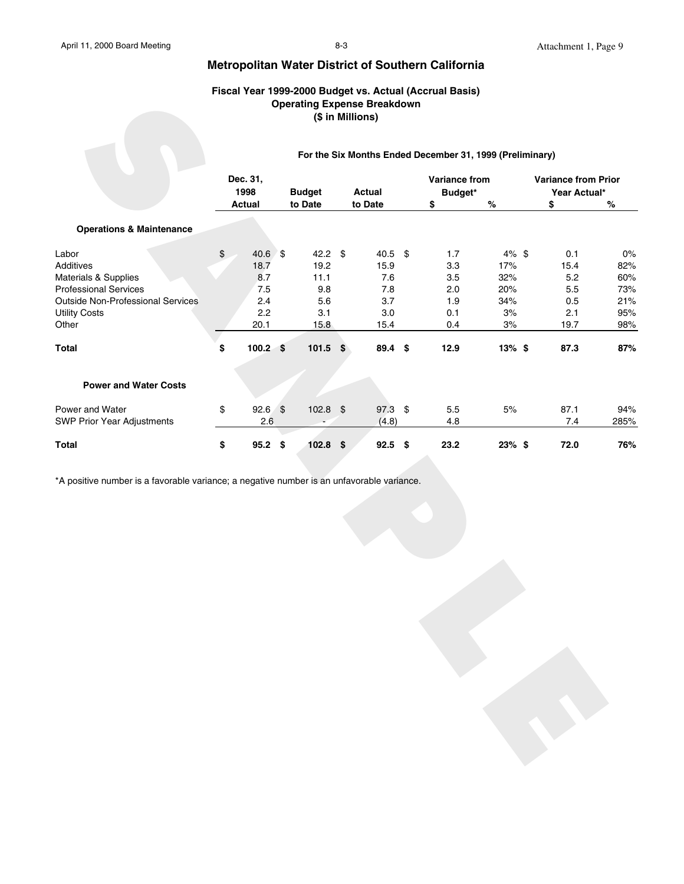#### **Fiscal Year 1999-2000 Budget vs. Actual (Accrual Basis) Operating Expense Breakdown (\$ in Millions)**

|                                                                                           |                  | , 1900 1901 19     |               |  | <b>Operating Expense Breakdown</b><br>(\$ in Millions) | 33 2000 Buuget vs. Adiual (Addi uai Basis)               |          |                                            |      |
|-------------------------------------------------------------------------------------------|------------------|--------------------|---------------|--|--------------------------------------------------------|----------------------------------------------------------|----------|--------------------------------------------|------|
|                                                                                           |                  |                    |               |  |                                                        | For the Six Months Ended December 31, 1999 (Preliminary) |          |                                            |      |
|                                                                                           | Dec. 31,<br>1998 |                    | <b>Budget</b> |  | <b>Actual</b>                                          | Variance from<br>Budget*                                 |          | <b>Variance from Prior</b><br>Year Actual* |      |
|                                                                                           |                  | <b>Actual</b>      | to Date       |  | to Date                                                | \$                                                       | $\%$     | \$                                         | $\%$ |
| <b>Operations &amp; Maintenance</b>                                                       |                  |                    |               |  |                                                        |                                                          |          |                                            |      |
| Labor                                                                                     | \$               | $40.6$ \$          | 42.2 \$       |  | 40.5 \$                                                | 1.7                                                      | 4% \$    | 0.1                                        | 0%   |
| Additives                                                                                 |                  | 18.7               | 19.2          |  | 15.9                                                   | 3.3                                                      | 17%      | 15.4                                       | 82%  |
| Materials & Supplies                                                                      |                  | 8.7                | 11.1          |  | 7.6                                                    | 3.5                                                      | 32%      | 5.2                                        | 60%  |
| <b>Professional Services</b>                                                              |                  | 7.5                | 9.8           |  | 7.8                                                    | 2.0                                                      | 20%      | 5.5                                        | 73%  |
| <b>Outside Non-Professional Services</b>                                                  |                  | 2.4                | $5.6\,$       |  | 3.7                                                    | 1.9                                                      | 34%      | $0.5\,$                                    | 21%  |
| <b>Utility Costs</b>                                                                      |                  | 2.2                | 3.1           |  | $3.0\,$                                                | 0.1                                                      | $3%$     | 2.1                                        | 95%  |
| Other                                                                                     |                  | 20.1               | 15.8          |  | 15.4                                                   | 0.4                                                      | 3%       | 19.7                                       | 98%  |
| Total                                                                                     | \$               | 100.2 <sup>5</sup> | $101.5$ \$    |  | 89.4 \$                                                | 12.9                                                     | $13%$ \$ | 87.3                                       | 87%  |
| <b>Power and Water Costs</b>                                                              |                  |                    |               |  |                                                        |                                                          |          |                                            |      |
| Power and Water                                                                           | \$               | $92.6$ \$          | $102.8$ \$    |  | 97.3 \$                                                | 5.5                                                      | $5%$     | 87.1                                       | 94%  |
| SWP Prior Year Adjustments                                                                |                  | 2.6                |               |  | (4.8)                                                  | 4.8                                                      |          | $7.4$                                      | 285% |
| Total                                                                                     | \$               | $95.2$ \$          | $102.8$ \$    |  | $92.5$ \$                                              | 23.2                                                     | 23% \$   | 72.0                                       | 76%  |
| *A positive number is a favorable variance; a negative number is an unfavorable variance. |                  |                    |               |  |                                                        |                                                          |          |                                            |      |
|                                                                                           |                  |                    |               |  |                                                        |                                                          |          |                                            |      |
|                                                                                           |                  |                    |               |  |                                                        |                                                          |          |                                            |      |
|                                                                                           |                  |                    |               |  |                                                        |                                                          |          |                                            |      |
|                                                                                           |                  |                    |               |  |                                                        |                                                          |          |                                            |      |
|                                                                                           |                  |                    |               |  |                                                        |                                                          |          |                                            |      |
|                                                                                           |                  |                    |               |  |                                                        |                                                          |          |                                            |      |
|                                                                                           |                  |                    |               |  |                                                        |                                                          |          |                                            |      |
|                                                                                           |                  |                    |               |  |                                                        |                                                          |          |                                            |      |
|                                                                                           |                  |                    |               |  |                                                        |                                                          |          |                                            |      |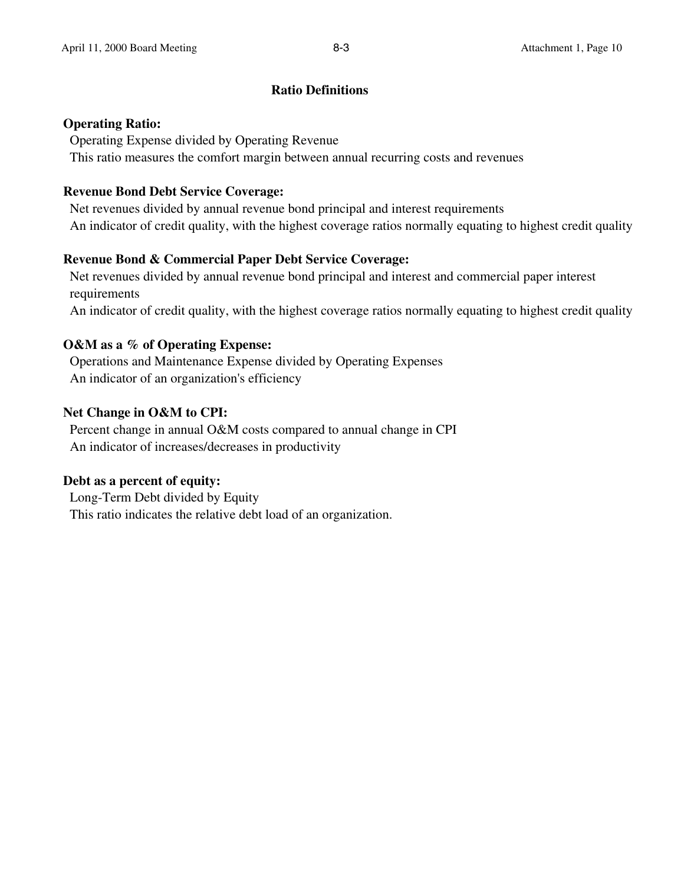### **Ratio Definitions**

### **Operating Ratio:**

 Operating Expense divided by Operating Revenue This ratio measures the comfort margin between annual recurring costs and revenues

# **Revenue Bond Debt Service Coverage:**

 Net revenues divided by annual revenue bond principal and interest requirements An indicator of credit quality, with the highest coverage ratios normally equating to highest credit quality

# **Revenue Bond & Commercial Paper Debt Service Coverage:**

 Net revenues divided by annual revenue bond principal and interest and commercial paper interest requirements An indicator of credit quality, with the highest coverage ratios normally equating to highest credit quality

# **O&M as a % of Operating Expense:**

 Operations and Maintenance Expense divided by Operating Expenses An indicator of an organization's efficiency

# **Net Change in O&M to CPI:**

 Percent change in annual O&M costs compared to annual change in CPI An indicator of increases/decreases in productivity

# **Debt as a percent of equity:**

 Long-Term Debt divided by Equity This ratio indicates the relative debt load of an organization.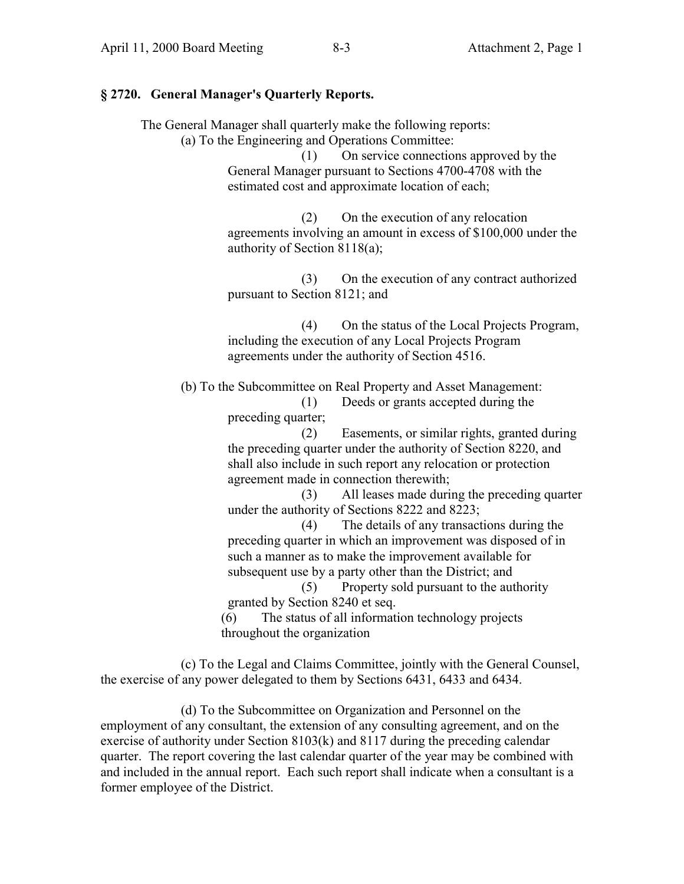#### **§ 2720. General Manager's Quarterly Reports.**

The General Manager shall quarterly make the following reports:

(a) To the Engineering and Operations Committee:

(1) On service connections approved by the General Manager pursuant to Sections 4700-4708 with the estimated cost and approximate location of each;

(2) On the execution of any relocation agreements involving an amount in excess of \$100,000 under the authority of Section 8118(a);

(3) On the execution of any contract authorized pursuant to Section 8121; and

(4) On the status of the Local Projects Program, including the execution of any Local Projects Program agreements under the authority of Section 4516.

(b) To the Subcommittee on Real Property and Asset Management: (1) Deeds or grants accepted during the

preceding quarter;

(2) Easements, or similar rights, granted during the preceding quarter under the authority of Section 8220, and shall also include in such report any relocation or protection agreement made in connection therewith;

(3) All leases made during the preceding quarter under the authority of Sections 8222 and 8223;

(4) The details of any transactions during the preceding quarter in which an improvement was disposed of in such a manner as to make the improvement available for subsequent use by a party other than the District; and

(5) Property sold pursuant to the authority granted by Section 8240 et seq.

(6) The status of all information technology projects throughout the organization

(c) To the Legal and Claims Committee, jointly with the General Counsel, the exercise of any power delegated to them by Sections 6431, 6433 and 6434.

(d) To the Subcommittee on Organization and Personnel on the employment of any consultant, the extension of any consulting agreement, and on the exercise of authority under Section 8103(k) and 8117 during the preceding calendar quarter. The report covering the last calendar quarter of the year may be combined with and included in the annual report. Each such report shall indicate when a consultant is a former employee of the District.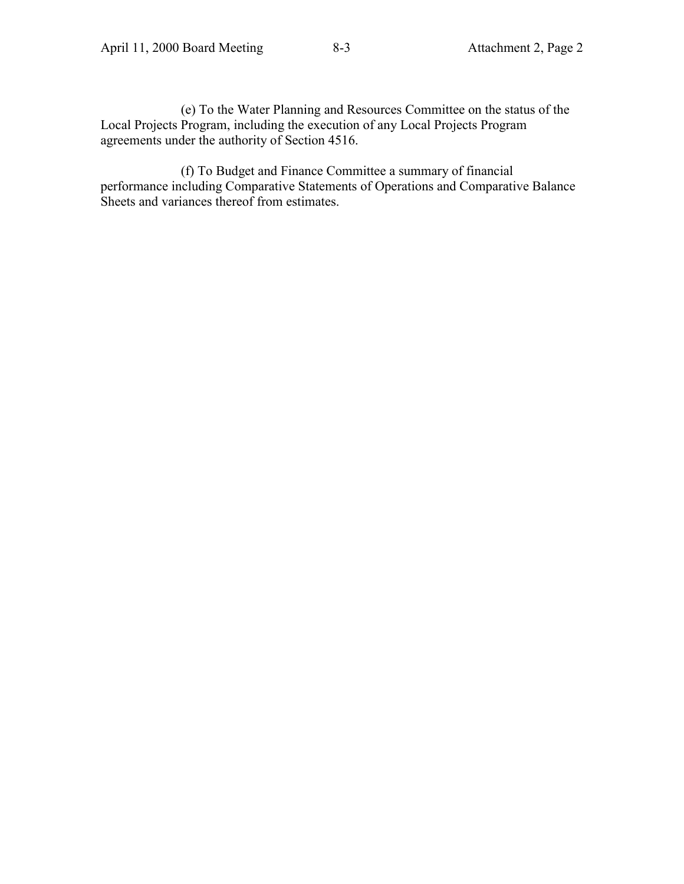(e) To the Water Planning and Resources Committee on the status of the Local Projects Program, including the execution of any Local Projects Program agreements under the authority of Section 4516.

(f) To Budget and Finance Committee a summary of financial performance including Comparative Statements of Operations and Comparative Balance Sheets and variances thereof from estimates.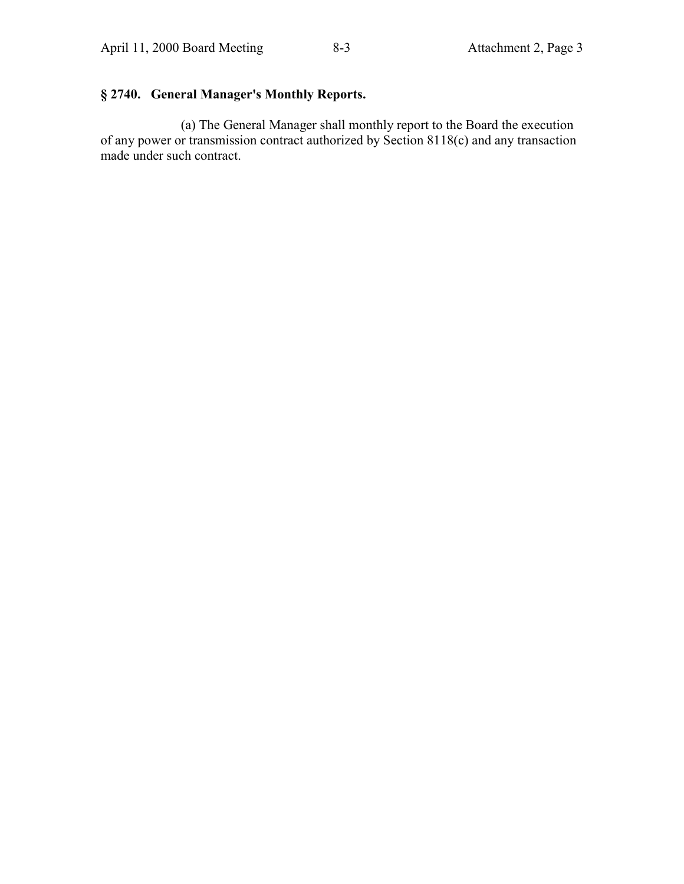# **§ 2740. General Manager's Monthly Reports.**

(a) The General Manager shall monthly report to the Board the execution of any power or transmission contract authorized by Section 8118(c) and any transaction made under such contract.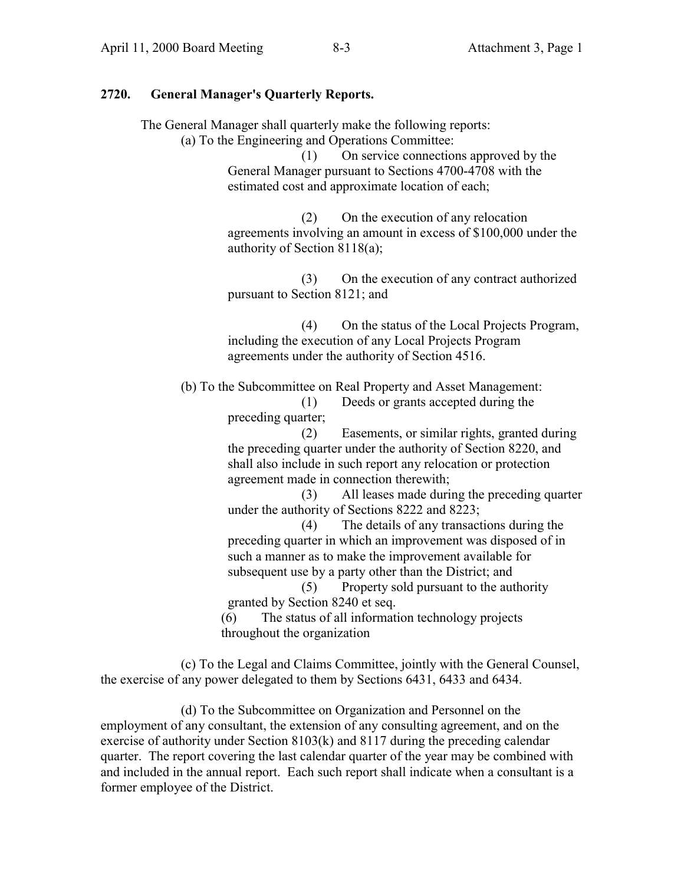# **2720. General Manager's Quarterly Reports.**

The General Manager shall quarterly make the following reports:

(a) To the Engineering and Operations Committee:

(1) On service connections approved by the General Manager pursuant to Sections 4700-4708 with the estimated cost and approximate location of each;

(2) On the execution of any relocation agreements involving an amount in excess of \$100,000 under the authority of Section 8118(a);

(3) On the execution of any contract authorized pursuant to Section 8121; and

(4) On the status of the Local Projects Program, including the execution of any Local Projects Program agreements under the authority of Section 4516.

(b) To the Subcommittee on Real Property and Asset Management: (1) Deeds or grants accepted during the

preceding quarter;

(2) Easements, or similar rights, granted during the preceding quarter under the authority of Section 8220, and shall also include in such report any relocation or protection agreement made in connection therewith;

(3) All leases made during the preceding quarter under the authority of Sections 8222 and 8223;

(4) The details of any transactions during the preceding quarter in which an improvement was disposed of in such a manner as to make the improvement available for subsequent use by a party other than the District; and

(5) Property sold pursuant to the authority granted by Section 8240 et seq.

(6) The status of all information technology projects throughout the organization

(c) To the Legal and Claims Committee, jointly with the General Counsel, the exercise of any power delegated to them by Sections 6431, 6433 and 6434.

(d) To the Subcommittee on Organization and Personnel on the employment of any consultant, the extension of any consulting agreement, and on the exercise of authority under Section 8103(k) and 8117 during the preceding calendar quarter. The report covering the last calendar quarter of the year may be combined with and included in the annual report. Each such report shall indicate when a consultant is a former employee of the District.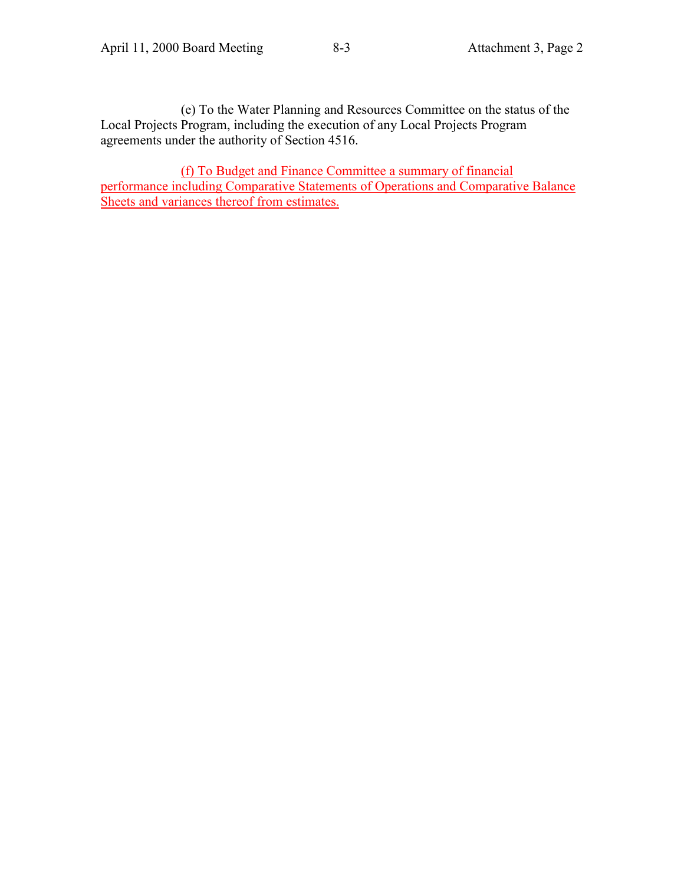(e) To the Water Planning and Resources Committee on the status of the Local Projects Program, including the execution of any Local Projects Program agreements under the authority of Section 4516.

(f) To Budget and Finance Committee a summary of financial performance including Comparative Statements of Operations and Comparative Balance Sheets and variances thereof from estimates.